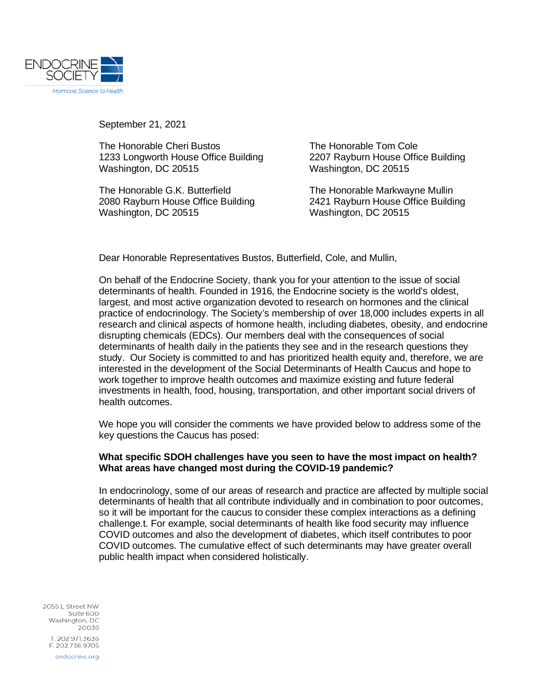

September 21, 2021

The Honorable Cheri Bustos 1233 Longworth House Office Building Washington, DC 20515

The Honorable G.K. Butterfield 2080 Rayburn House Office Building Washington, DC 20515

The Honorable Tom Cole 2207 Rayburn House Office Building Washington, DC 20515

The Honorable Markwayne Mullin 2421 Rayburn House Office Building Washington, DC 20515

Dear Honorable Representatives Bustos, Butterfield, Cole, and Mullin,

On behalf of the Endocrine Society, thank you for your attention to the issue of social determinants of health. Founded in 1916, the Endocrine society is the world's oldest, largest, and most active organization devoted to research on hormones and the clinical practice of endocrinology. The Society's membership of over 18,000 includes experts in all research and clinical aspects of hormone health, including diabetes, obesity, and endocrine disrupting chemicals (EDCs). Our members deal with the consequences of social determinants of health daily in the patients they see and in the research questions they study. Our Society is committed to and has prioritized health equity and, therefore, we are interested in the development of the Social Determinants of Health Caucus and hope to work together to improve health outcomes and maximize existing and future federal investments in health, food, housing, transportation, and other important social drivers of health outcomes.

We hope you will consider the comments we have provided below to address some of the key questions the Caucus has posed:

## **What specific SDOH challenges have you seen to have the most impact on health? What areas have changed most during the COVID-19 pandemic?**

In endocrinology, some of our areas of research and practice are affected by multiple social determinants of health that all contribute individually and in combination to poor outcomes, so it will be important for the caucus to consider these complex interactions as a defining challenge.t. For example, social determinants of health like food security may influence COVID outcomes and also the development of diabetes, which itself contributes to poor COVID outcomes. The cumulative effect of such determinants may have greater overall public health impact when considered holistically.

2055 | Street NW Suite 600 Washington, DC 20036 T. 202.971.3636 F. 202.736.9705 endocrine.org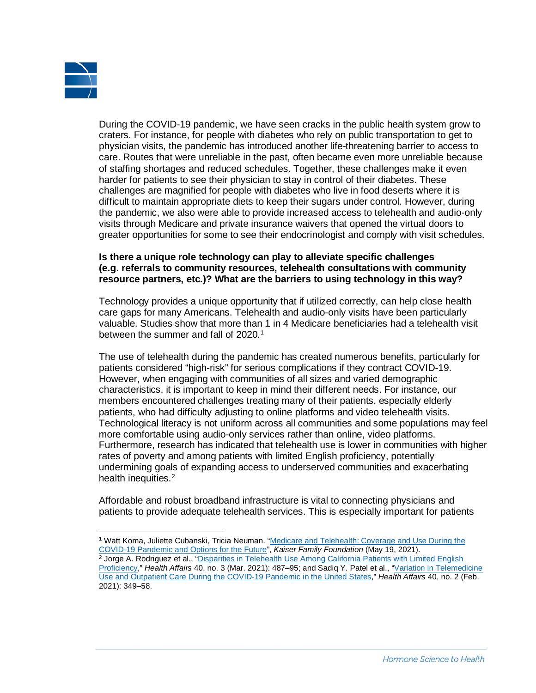

During the COVID-19 pandemic, we have seen cracks in the public health system grow to craters. For instance, for people with diabetes who rely on public transportation to get to physician visits, the pandemic has introduced another life-threatening barrier to access to care. Routes that were unreliable in the past, often became even more unreliable because of staffing shortages and reduced schedules. Together, these challenges make it even harder for patients to see their physician to stay in control of their diabetes. These challenges are magnified for people with diabetes who live in food deserts where it is difficult to maintain appropriate diets to keep their sugars under control. However, during the pandemic, we also were able to provide increased access to telehealth and audio-only visits through Medicare and private insurance waivers that opened the virtual doors to greater opportunities for some to see their endocrinologist and comply with visit schedules.

## **Is there a unique role technology can play to alleviate specific challenges (e.g. referrals to community resources, telehealth consultations with community resource partners, etc.)? What are the barriers to using technology in this way?**

Technology provides a unique opportunity that if utilized correctly, can help close health care gaps for many Americans. Telehealth and audio-only visits have been particularly valuable. Studies show that more than 1 in 4 Medicare beneficiaries had a telehealth visit between the summer and fall of 2020.<sup>[1](#page-1-0)</sup>

The use of telehealth during the pandemic has created numerous benefits, particularly for patients considered "high-risk" for serious complications if they contract COVID-19. However, when engaging with communities of all sizes and varied demographic characteristics, it is important to keep in mind their different needs. For instance, our members encountered challenges treating many of their patients, especially elderly patients, who had difficulty adjusting to online platforms and video telehealth visits. Technological literacy is not uniform across all communities and some populations may feel more comfortable using audio-only services rather than online, video platforms. Furthermore, research has indicated that telehealth use is lower in communities with higher rates of poverty and among patients with limited English proficiency, potentially undermining goals of expanding access to underserved communities and exacerbating health inequities.<sup>[2](#page-1-1)</sup>

Affordable and robust broadband infrastructure is vital to connecting physicians and patients to provide adequate telehealth services. This is especially important for patients

<span id="page-1-0"></span><sup>1</sup> Watt Koma, Juliette Cubanski, Tricia Neuman. ["Medicare and Telehealth: Coverage and Use During the](https://www.kff.org/medicare/issue-brief/medicare-and-telehealth-coverage-and-use-during-the-covid-19-pandemic-and-options-for-the-future/)  [COVID-19 Pandemic and Options for the Future"](https://www.kff.org/medicare/issue-brief/medicare-and-telehealth-coverage-and-use-during-the-covid-19-pandemic-and-options-for-the-future/), *Kaiser Family Foundation* (May 19, 2021).

<span id="page-1-1"></span><sup>&</sup>lt;sup>2</sup> Jorge A. Rodriguez et al., "Disparities in Telehealth Use Among California Patients with Limited English [Proficiency,](https://www.healthaffairs.org/doi/full/10.1377/hlthaff.2020.00823)" *Health Affairs* 40, no. 3 (Mar. 2021): 487–95; and Sadiq Y. Patel et al., ["Variation in Telemedicine](https://www.healthaffairs.org/doi/10.1377/hlthaff.2020.01786)  [Use and Outpatient Care During the COVID-19 Pandemic in the United States,](https://www.healthaffairs.org/doi/10.1377/hlthaff.2020.01786)" *Health Affairs* 40, no. 2 (Feb. 2021): 349–58.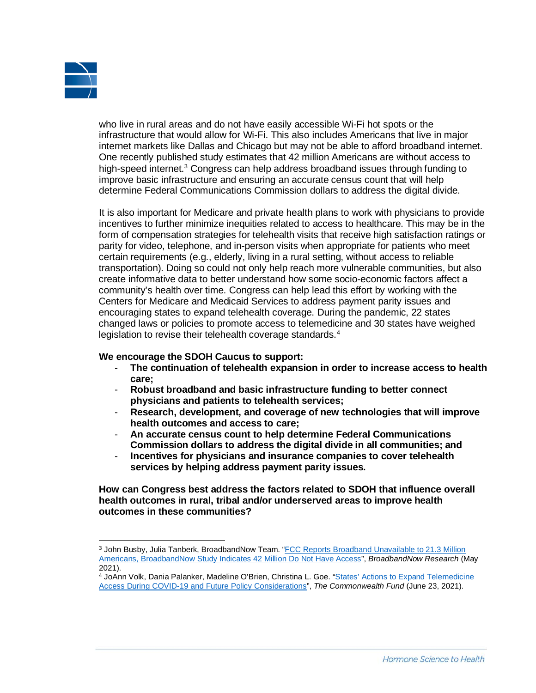

who live in rural areas and do not have easily accessible Wi-Fi hot spots or the infrastructure that would allow for Wi-Fi. This also includes Americans that live in major internet markets like Dallas and Chicago but may not be able to afford broadband internet. One recently published study estimates that 42 million Americans are without access to high-speed internet.[3](#page-2-0) Congress can help address broadband issues through funding to improve basic infrastructure and ensuring an accurate census count that will help determine Federal Communications Commission dollars to address the digital divide.

It is also important for Medicare and private health plans to work with physicians to provide incentives to further minimize inequities related to access to healthcare. This may be in the form of compensation strategies for telehealth visits that receive high satisfaction ratings or parity for video, telephone, and in-person visits when appropriate for patients who meet certain requirements (e.g., elderly, living in a rural setting, without access to reliable transportation). Doing so could not only help reach more vulnerable communities, but also create informative data to better understand how some socio-economic factors affect a community's health over time. Congress can help lead this effort by working with the Centers for Medicare and Medicaid Services to address payment parity issues and encouraging states to expand telehealth coverage. During the pandemic, 22 states changed laws or policies to promote access to telemedicine and 30 states have weighed legislation to revise their telehealth coverage standards.[4](#page-2-1)

# **We encourage the SDOH Caucus to support:**

- **The continuation of telehealth expansion in order to increase access to health care;**
- **Robust broadband and basic infrastructure funding to better connect physicians and patients to telehealth services;**
- **Research, development, and coverage of new technologies that will improve health outcomes and access to care;**
- **An accurate census count to help determine Federal Communications Commission dollars to address the digital divide in all communities; and**
- **Incentives for physicians and insurance companies to cover telehealth services by helping address payment parity issues.**

**How can Congress best address the factors related to SDOH that influence overall health outcomes in rural, tribal and/or underserved areas to improve health outcomes in these communities?**

<span id="page-2-0"></span><sup>3</sup> John Busby, Julia Tanberk, BroadbandNow Team. ["FCC Reports Broadband Unavailable to 21.3 Million](https://broadbandnow.com/research/fcc-underestimates-unserved-by-50-percent)  [Americans, BroadbandNow Study Indicates 42 Million Do Not Have Access"](https://broadbandnow.com/research/fcc-underestimates-unserved-by-50-percent), *BroadbandNow Research* (May 2021).

<span id="page-2-1"></span><sup>4</sup> JoAnn Volk, Dania Palanker, Madeline O'Brien, Christina L. Goe. "States' Actions to Expand Telemedicine [Access During COVID-19 and Future Policy Considerations"](https://www.commonwealthfund.org/publications/issue-briefs/2021/jun/states-actions-expand-telemedicine-access-covid-19), *The Commonwealth Fund* (June 23, 2021).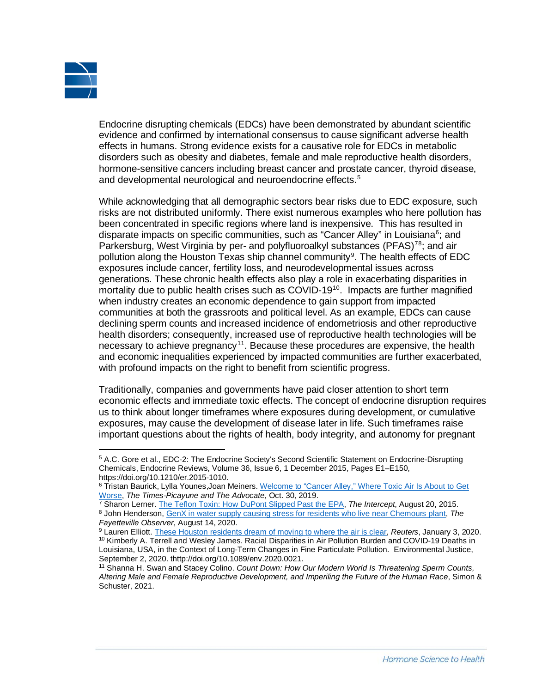

Endocrine disrupting chemicals (EDCs) have been demonstrated by abundant scientific evidence and confirmed by international consensus to cause significant adverse health effects in humans. Strong evidence exists for a causative role for EDCs in metabolic disorders such as obesity and diabetes, female and male reproductive health disorders, hormone-sensitive cancers including breast cancer and prostate cancer, thyroid disease, and developmental neurological and neuroendocrine effects. [5](#page-3-0)

While acknowledging that all demographic sectors bear risks due to EDC exposure, such risks are not distributed uniformly. There exist numerous examples who here pollution has been concentrated in specific regions where land is inexpensive. This has resulted in disparate impacts on specific communities, such as "Cancer Alley" in Louisiana $e<sup>6</sup>$ ; and Parkersburg, West Virginia by per- and polyfluoroalkyl substances (PFAS)<sup>[7](#page-3-2)[8](#page-3-3)</sup>; and air pollution along the Houston Texas ship channel community ${}^{9}$  ${}^{9}$  ${}^{9}$ . The health effects of EDC exposures include cancer, fertility loss, and neurodevelopmental issues across generations. These chronic health effects also play a role in exacerbating disparities in mortality due to public health crises such as COVID-19<sup>[10](#page-3-5)</sup>. Impacts are further magnified when industry creates an economic dependence to gain support from impacted communities at both the grassroots and political level. As an example, EDCs can cause declining sperm counts and increased incidence of endometriosis and other reproductive health disorders; consequently, increased use of reproductive health technologies will be necessary to achieve pregnancy<sup>[11](#page-3-6)</sup>. Because these procedures are expensive, the health and economic inequalities experienced by impacted communities are further exacerbated, with profound impacts on the right to benefit from scientific progress.

Traditionally, companies and governments have paid closer attention to short term economic effects and immediate toxic effects. The concept of endocrine disruption requires us to think about longer timeframes where exposures during development, or cumulative exposures, may cause the development of disease later in life. Such timeframes raise important questions about the rights of health, body integrity, and autonomy for pregnant

<span id="page-3-0"></span><sup>5</sup> A.C. Gore et al., EDC-2: The Endocrine Society's Second Scientific Statement on Endocrine-Disrupting Chemicals, Endocrine Reviews, Volume 36, Issue 6, 1 December 2015, Pages E1–E150, https://doi.org/10.1210/er.2015-1010.

<span id="page-3-1"></span><sup>&</sup>lt;sup>6</sup> Tristan Baurick, Lylla Younes, Joan Meiners. Welcome to "Cancer Alley," Where Toxic Air Is About to Get [Worse,](https://www.propublica.org/article/welcome-to-cancer-alley-where-toxic-air-is-about-to-get-worse) *The Times-Picayune and The Advocate*, Oct. 30, 2019.

<span id="page-3-2"></span><sup>7</sup> Sharon Lerner. The Teflon Toxin: How DuPont [Slipped](https://theintercept.com/2015/08/20/teflon-toxin-dupont-slipped-past-epa/) Past the EPA, *The Intercept*, August 20, 2015. <sup>8</sup> John Henderson, GenX in water supply causing stress for residents who live near [Chemours](https://www.fayobserver.com/story/news/2020/08/14/genx-water-supply-causing-stress-fayetteville-area-residents-who-live-near-chemours-plant/3366754001/) plant, *The Fayetteville Observer*, August 14, 2020.

<span id="page-3-5"></span><span id="page-3-4"></span><span id="page-3-3"></span><sup>9</sup> Lauren Elliott. [These Houston residents dream of moving to where the air is clear,](https://www.reuters.com/article/us-usa-pollution-houston-widerimage/these-houston-residents-dream-of-moving-to-where-the-air-is-clear-idUSKBN1Z215B) *Reuters*, January 3, 2020. <sup>10</sup> Kimberly A. Terrell and Wesley James. Racial Disparities in Air Pollution Burden and COVID-19 Deaths in Louisiana, USA, in the Context of Long-Term Changes in Fine Particulate Pollution. Environmental Justice,

<span id="page-3-6"></span>September 2, 2020. thttp://doi.org/10.1089/env.2020.0021.<br><sup>11</sup> Shanna H. Swan and Stacey Colino. *Count Down: How Our Modern World Is Threatening Sperm Counts, Altering Male and Female Reproductive Development, and Imperiling the Future of the Human Race*, Simon & Schuster, 2021.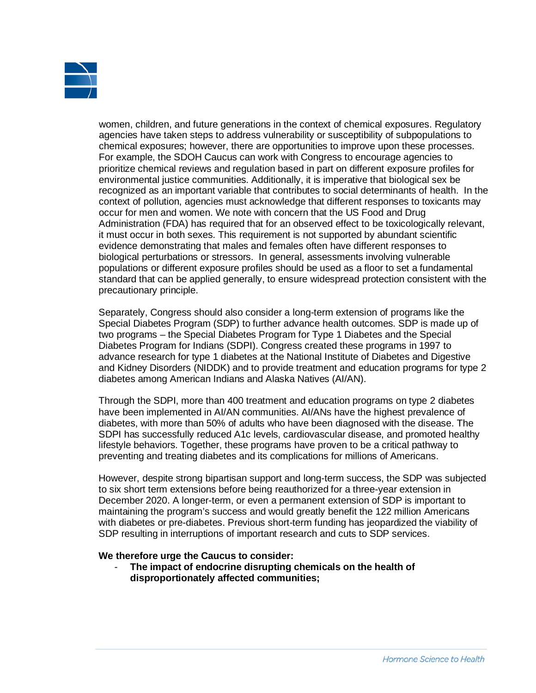

women, children, and future generations in the context of chemical exposures. Regulatory agencies have taken steps to address vulnerability or susceptibility of subpopulations to chemical exposures; however, there are opportunities to improve upon these processes. For example, the SDOH Caucus can work with Congress to encourage agencies to prioritize chemical reviews and regulation based in part on different exposure profiles for environmental justice communities. Additionally, it is imperative that biological sex be recognized as an important variable that contributes to social determinants of health. In the context of pollution, agencies must acknowledge that different responses to toxicants may occur for men and women. We note with concern that the US Food and Drug Administration (FDA) has required that for an observed effect to be toxicologically relevant, it must occur in both sexes. This requirement is not supported by abundant scientific evidence demonstrating that males and females often have different responses to biological perturbations or stressors. In general, assessments involving vulnerable populations or different exposure profiles should be used as a floor to set a fundamental standard that can be applied generally, to ensure widespread protection consistent with the precautionary principle.

Separately, Congress should also consider a long-term extension of programs like the Special Diabetes Program (SDP) to further advance health outcomes. SDP is made up of two programs – the Special Diabetes Program for Type 1 Diabetes and the Special Diabetes Program for Indians (SDPI). Congress created these programs in 1997 to advance research for type 1 diabetes at the National Institute of Diabetes and Digestive and Kidney Disorders (NIDDK) and to provide treatment and education programs for type 2 diabetes among American Indians and Alaska Natives (AI/AN).

Through the SDPI, more than 400 treatment and education programs on type 2 diabetes have been implemented in AI/AN communities. AI/ANs have the highest prevalence of diabetes, with more than 50% of adults who have been diagnosed with the disease. The SDPI has successfully reduced A1c levels, cardiovascular disease, and promoted healthy lifestyle behaviors. Together, these programs have proven to be a critical pathway to preventing and treating diabetes and its complications for millions of Americans.

However, despite strong bipartisan support and long-term success, the SDP was subjected to six short term extensions before being reauthorized for a three-year extension in December 2020. A longer-term, or even a permanent extension of SDP is important to maintaining the program's success and would greatly benefit the 122 million Americans with diabetes or pre-diabetes. Previous short-term funding has jeopardized the viability of SDP resulting in interruptions of important research and cuts to SDP services.

### **We therefore urge the Caucus to consider:**

- **The impact of endocrine disrupting chemicals on the health of disproportionately affected communities;**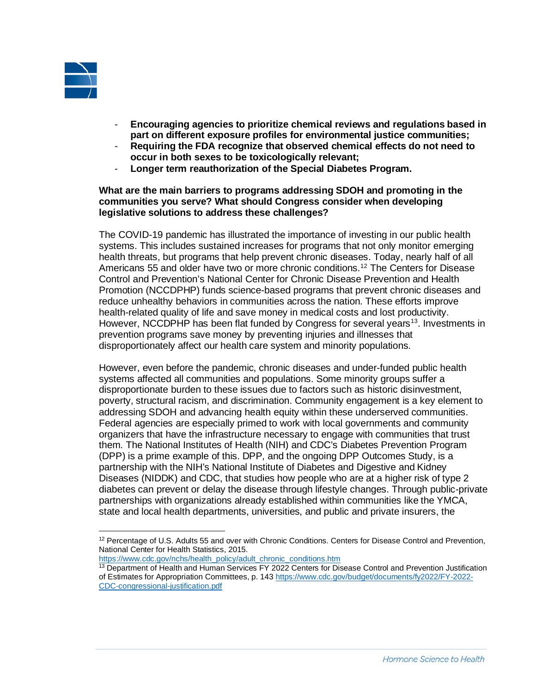

- **Encouraging agencies to prioritize chemical reviews and regulations based in part on different exposure profiles for environmental justice communities;**
- **Requiring the FDA recognize that observed chemical effects do not need to occur in both sexes to be toxicologically relevant;**
- **Longer term reauthorization of the Special Diabetes Program.**

## **What are the main barriers to programs addressing SDOH and promoting in the communities you serve? What should Congress consider when developing legislative solutions to address these challenges?**

The COVID-19 pandemic has illustrated the importance of investing in our public health systems. This includes sustained increases for programs that not only monitor emerging health threats, but programs that help prevent chronic diseases. Today, nearly half of all Americans 55 and older have two or more chronic conditions.<sup>[12](#page-5-0)</sup> The Centers for Disease Control and Prevention's National Center for Chronic Disease Prevention and Health Promotion (NCCDPHP) funds science-based programs that prevent chronic diseases and reduce unhealthy behaviors in communities across the nation. These efforts improve health-related quality of life and save money in medical costs and lost productivity. However, NCCDPHP has been flat funded by Congress for several years<sup>[13](#page-5-1)</sup>. Investments in prevention programs save money by preventing injuries and illnesses that disproportionately affect our health care system and minority populations.

However, even before the pandemic, chronic diseases and under-funded public health systems affected all communities and populations. Some minority groups suffer a disproportionate burden to these issues due to factors such as historic disinvestment, poverty, structural racism, and discrimination. Community engagement is a key element to addressing SDOH and advancing health equity within these underserved communities. Federal agencies are especially primed to work with local governments and community organizers that have the infrastructure necessary to engage with communities that trust them. The National Institutes of Health (NIH) and CDC's Diabetes Prevention Program (DPP) is a prime example of this. DPP, and the ongoing DPP Outcomes Study, is a partnership with the NIH's National Institute of Diabetes and Digestive and Kidney Diseases (NIDDK) and CDC, that studies how people who are at a higher risk of type 2 diabetes can prevent or delay the disease through lifestyle changes. Through public-private partnerships with organizations already established within communities like the YMCA, state and local health departments, universities, and public and private insurers, the

<span id="page-5-1"></span><sup>13</sup> Department of Health and Human Services FY 2022 Centers for Disease Control and Prevention Justification of Estimates for Appropriation Committees, p. 143 [https://www.cdc.gov/budget/documents/fy2022/FY-2022-](https://www.cdc.gov/budget/documents/fy2022/FY-2022-CDC-congressional-justification.pdf) [CDC-congressional-justification.pdf](https://www.cdc.gov/budget/documents/fy2022/FY-2022-CDC-congressional-justification.pdf) 

<span id="page-5-0"></span><sup>&</sup>lt;sup>12</sup> Percentage of U.S. Adults 55 and over with Chronic Conditions. Centers for Disease Control and Prevention, National Center for Health Statistics, 2015.

[https://www.cdc.gov/nchs/health\\_policy/adult\\_chronic\\_conditions.htm](https://www.cdc.gov/nchs/health_policy/adult_chronic_conditions.htm)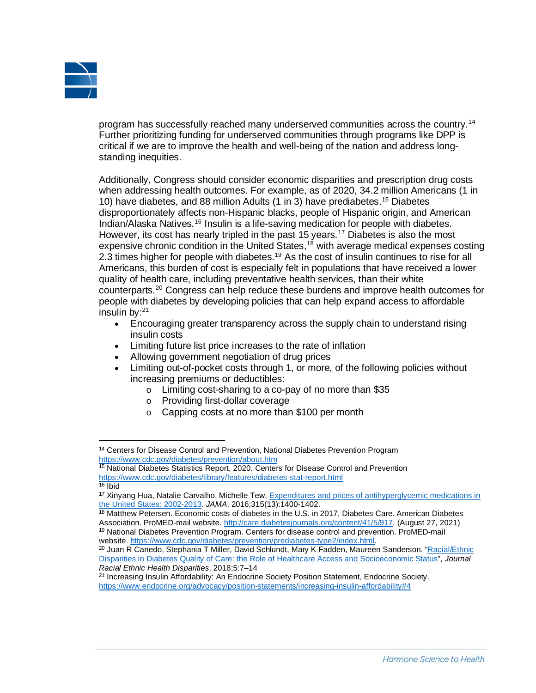

program has successfully reached many underserved communities across the country.[14](#page-6-0) Further prioritizing funding for underserved communities through programs like DPP is critical if we are to improve the health and well-being of the nation and address longstanding inequities.

Additionally, Congress should consider economic disparities and prescription drug costs when addressing health outcomes. For example, as of 2020, 34.2 million Americans (1 in 10) have diabetes, and 88 million Adults (1 in 3) have prediabetes[.15](#page-6-1) Diabetes disproportionately affects non-Hispanic blacks, people of Hispanic origin, and American Indian/Alaska Natives.[16](#page-6-2) Insulin is a life-saving medication for people with diabetes. However, its cost has nearly tripled in the past 15 years.<sup>[17](#page-6-3)</sup> Diabetes is also the most expensive chronic condition in the United States,<sup>[18](#page-6-4)</sup> with average medical expenses costing 2.3 times higher for people with diabetes.<sup>[19](#page-6-5)</sup> As the cost of insulin continues to rise for all Americans, this burden of cost is especially felt in populations that have received a lower quality of health care, including preventative health services, than their white counterparts.[20](#page-6-6) Congress can help reduce these burdens and improve health outcomes for people with diabetes by developing policies that can help expand access to affordable insulin by: [21](#page-6-7)

- Encouraging greater transparency across the supply chain to understand rising insulin costs
- Limiting future list price increases to the rate of inflation
- Allowing government negotiation of drug prices
- Limiting out-of-pocket costs through 1, or more, of the following policies without increasing premiums or deductibles:
	- o Limiting cost-sharing to a co-pay of no more than \$35
	- o Providing first-dollar coverage
	- o Capping costs at no more than \$100 per month

<span id="page-6-0"></span><sup>&</sup>lt;sup>14</sup> Centers for Disease Control and Prevention, National Diabetes Prevention Program<br>https://www.cdc.gov/diabetes/prevention/about.htm

<span id="page-6-1"></span><sup>15</sup> National Diabetes Statistics Report, 2020. Centers for Disease Control and Prevention <https://www.cdc.gov/diabetes/library/features/diabetes-stat-report.html>  $16$  Ibid

<span id="page-6-3"></span><span id="page-6-2"></span><sup>17</sup> Xinyang Hua, Natalie Carvalho, Michelle Tew. [Expenditures and prices of antihyperglycemic medications in](https://jamanetwork.com/journals/jama/fullarticle/2510902)  [the United States: 2002-2013.](https://jamanetwork.com/journals/jama/fullarticle/2510902) *JAMA*. 2016;315(13):1400-1402.

<span id="page-6-5"></span><span id="page-6-4"></span><sup>&</sup>lt;sup>18</sup> Matthew Petersen. Economic costs of diabetes in the U.S. in 2017, Diabetes Care. American Diabetes Association. ProMED-mail website. [http://care.diabetesjournals.org/content/41/5/917.](http://care.diabetesjournals.org/content/41/5/917) (August 27, 2021) <sup>19</sup> National Diabetes Prevention Program. Centers for disease control and prevention. ProMED-mail website. [https://www.cdc.gov/diabetes/prevention/prediabetes-type2/index.html.](https://www.cdc.gov/diabetes/prevention/prediabetes-type2/index.html)

<span id="page-6-6"></span><sup>&</sup>lt;sup>20</sup> Juan R Canedo, Stephania T Miller, David Schlundt, Mary K Fadden, Maureen Sanderson. "Racial/Ethnic [Disparities in Diabetes Quality of Care: the Role of Healthcare Access and Socioeconomic Status"](https://pubmed.ncbi.nlm.nih.gov/28078660/), *Journal Racial Ethnic Health Disparities*. 2018;5:7–14

<span id="page-6-7"></span><sup>21</sup> Increasing Insulin Affordability: An Endocrine Society Position Statement, Endocrine Society. <https://www.endocrine.org/advocacy/position-statements/increasing-insulin-affordability#4>